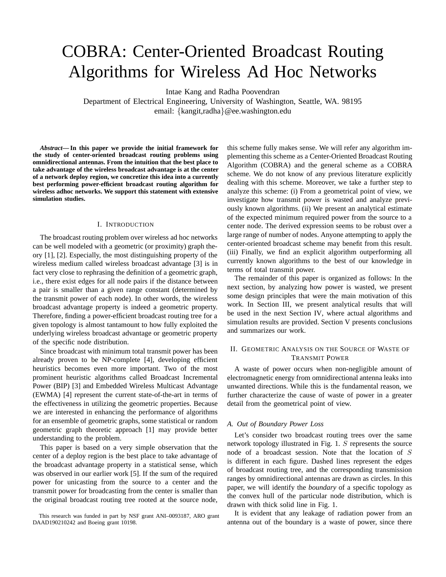# COBRA: Center-Oriented Broadcast Routing Algorithms for Wireless Ad Hoc Networks

Intae Kang and Radha Poovendran

Department of Electrical Engineering, University of Washington, Seattle, WA. 98195 email: {kangit,radha}@ee.washington.edu

*Abstract***— In this paper we provide the initial framework for the study of center-oriented broadcast routing problems using omnidirectional antennas. From the intuition that the best place to take advantage of the wireless broadcast advantage is at the center of a network deploy region, we concretize this idea into a currently best performing power-efficient broadcast routing algorithm for wireless adhoc networks. We support this statement with extensive simulation studies.**

## I. INTRODUCTION

The broadcast routing problem over wireless ad hoc networks can be well modeled with a geometric (or proximity) graph theory [1], [2]. Especially, the most distinguishing property of the wireless medium called wireless broadcast advantage [3] is in fact very close to rephrasing the definition of a geometric graph, i.e., there exist edges for all node pairs if the distance between a pair is smaller than a given range constant (determined by the transmit power of each node). In other words, the wireless broadcast advantage property is indeed a geometric property. Therefore, finding a power-efficient broadcast routing tree for a given topology is almost tantamount to how fully exploited the underlying wireless broadcast advantage or geometric property of the specific node distribution.

Since broadcast with minimum total transmit power has been already proven to be NP-complete [4], developing efficient heuristics becomes even more important. Two of the most prominent heuristic algorithms called Broadcast Incremental Power (BIP) [3] and Embedded Wireless Multicast Advantage (EWMA) [4] represent the current state-of-the-art in terms of the effectiveness in utilizing the geometric properties. Because we are interested in enhancing the performance of algorithms for an ensemble of geometric graphs, some statistical or random geometric graph theoretic approach [1] may provide better understanding to the problem.

This paper is based on a very simple observation that the center of a deploy region is the best place to take advantage of the broadcast advantage property in a statistical sense, which was observed in our earlier work [5]. If the sum of the required power for unicasting from the source to a center and the transmit power for broadcasting from the center is smaller than the original broadcast routing tree rooted at the source node,

this scheme fully makes sense. We will refer any algorithm implementing this scheme as a Center-Oriented Broadcast Routing Algorithm (COBRA) and the general scheme as a COBRA scheme. We do not know of any previous literature explicitly dealing with this scheme. Moreover, we take a further step to analyze this scheme: (i) From a geometrical point of view, we investigate how transmit power is wasted and analyze previously known algorithms. (ii) We present an analytical estimate of the expected minimum required power from the source to a center node. The derived expression seems to be robust over a large range of number of nodes. Anyone attempting to apply the center-oriented broadcast scheme may benefit from this result. (iii) Finally, we find an explicit algorithm outperforming all currently known algorithms to the best of our knowledge in terms of total transmit power.

The remainder of this paper is organized as follows: In the next section, by analyzing how power is wasted, we present some design principles that were the main motivation of this work. In Section III, we present analytical results that will be used in the next Section IV, where actual algorithms and simulation results are provided. Section V presents conclusions and summarizes our work.

## II. GEOMETRIC ANALYSIS ON THE SOURCE OF WASTE OF TRANSMIT POWER

A waste of power occurs when non-negligible amount of electromagnetic energy from omnidirectional antenna leaks into unwanted directions. While this is the fundamental reason, we further characterize the cause of waste of power in a greater detail from the geometrical point of view.

## *A. Out of Boundary Power Loss*

Let's consider two broadcast routing trees over the same network topology illustrated in Fig. 1. S represents the source node of a broadcast session. Note that the location of S is different in each figure. Dashed lines represent the edges of broadcast routing tree, and the corresponding transmission ranges by omnidirectional antennas are drawn as circles. In this paper, we will identify the *boundary* of a specific topology as the convex hull of the particular node distribution, which is drawn with thick solid line in Fig. 1.

It is evident that any leakage of radiation power from an antenna out of the boundary is a waste of power, since there

This research was funded in part by NSF grant ANI–0093187, ARO grant DAAD190210242 and Boeing grant 10198.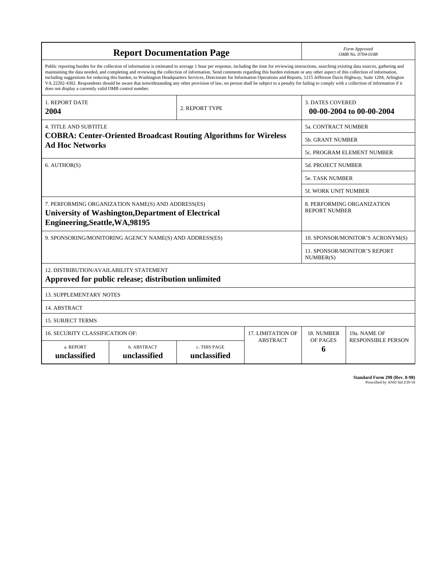|                                                                                                                                                                                                                                                                                                                                                                                                                                                                                                                                                                                                                                                                                                                                                                                                                                                                    | Form Approved<br>OMB No. 0704-0188                                                                              |                                                    |                            |                                                     |                           |  |  |  |  |  |
|--------------------------------------------------------------------------------------------------------------------------------------------------------------------------------------------------------------------------------------------------------------------------------------------------------------------------------------------------------------------------------------------------------------------------------------------------------------------------------------------------------------------------------------------------------------------------------------------------------------------------------------------------------------------------------------------------------------------------------------------------------------------------------------------------------------------------------------------------------------------|-----------------------------------------------------------------------------------------------------------------|----------------------------------------------------|----------------------------|-----------------------------------------------------|---------------------------|--|--|--|--|--|
| Public reporting burden for the collection of information is estimated to average 1 hour per response, including the time for reviewing instructions, searching existing data sources, gathering and<br>maintaining the data needed, and completing and reviewing the collection of information. Send comments regarding this burden estimate or any other aspect of this collection of information,<br>including suggestions for reducing this burden, to Washington Headquarters Services, Directorate for Information Operations and Reports, 1215 Jefferson Davis Highway, Suite 1204, Arlington<br>VA 22202-4302. Respondents should be aware that notwithstanding any other provision of law, no person shall be subject to a penalty for failing to comply with a collection of information if it<br>does not display a currently valid OMB control number. |                                                                                                                 |                                                    |                            |                                                     |                           |  |  |  |  |  |
| 1. REPORT DATE<br>2004                                                                                                                                                                                                                                                                                                                                                                                                                                                                                                                                                                                                                                                                                                                                                                                                                                             | 2. REPORT TYPE                                                                                                  |                                                    |                            | <b>3. DATES COVERED</b><br>00-00-2004 to 00-00-2004 |                           |  |  |  |  |  |
| <b>4. TITLE AND SUBTITLE</b>                                                                                                                                                                                                                                                                                                                                                                                                                                                                                                                                                                                                                                                                                                                                                                                                                                       |                                                                                                                 |                                                    | <b>5a. CONTRACT NUMBER</b> |                                                     |                           |  |  |  |  |  |
|                                                                                                                                                                                                                                                                                                                                                                                                                                                                                                                                                                                                                                                                                                                                                                                                                                                                    | <b>COBRA: Center-Oriented Broadcast Routing Algorithms for Wireless</b>                                         | <b>5b. GRANT NUMBER</b>                            |                            |                                                     |                           |  |  |  |  |  |
| <b>Ad Hoc Networks</b>                                                                                                                                                                                                                                                                                                                                                                                                                                                                                                                                                                                                                                                                                                                                                                                                                                             |                                                                                                                 | 5c. PROGRAM ELEMENT NUMBER                         |                            |                                                     |                           |  |  |  |  |  |
| 6. AUTHOR(S)                                                                                                                                                                                                                                                                                                                                                                                                                                                                                                                                                                                                                                                                                                                                                                                                                                                       |                                                                                                                 | 5d. PROJECT NUMBER                                 |                            |                                                     |                           |  |  |  |  |  |
|                                                                                                                                                                                                                                                                                                                                                                                                                                                                                                                                                                                                                                                                                                                                                                                                                                                                    |                                                                                                                 | <b>5e. TASK NUMBER</b>                             |                            |                                                     |                           |  |  |  |  |  |
|                                                                                                                                                                                                                                                                                                                                                                                                                                                                                                                                                                                                                                                                                                                                                                                                                                                                    |                                                                                                                 | 5f. WORK UNIT NUMBER                               |                            |                                                     |                           |  |  |  |  |  |
| Engineering, Seattle, WA, 98195                                                                                                                                                                                                                                                                                                                                                                                                                                                                                                                                                                                                                                                                                                                                                                                                                                    | 7. PERFORMING ORGANIZATION NAME(S) AND ADDRESS(ES)<br><b>University of Washington, Department of Electrical</b> | 8. PERFORMING ORGANIZATION<br><b>REPORT NUMBER</b> |                            |                                                     |                           |  |  |  |  |  |
|                                                                                                                                                                                                                                                                                                                                                                                                                                                                                                                                                                                                                                                                                                                                                                                                                                                                    | 9. SPONSORING/MONITORING AGENCY NAME(S) AND ADDRESS(ES)                                                         |                                                    |                            | 10. SPONSOR/MONITOR'S ACRONYM(S)                    |                           |  |  |  |  |  |
|                                                                                                                                                                                                                                                                                                                                                                                                                                                                                                                                                                                                                                                                                                                                                                                                                                                                    |                                                                                                                 | 11. SPONSOR/MONITOR'S REPORT<br>NUMBER(S)          |                            |                                                     |                           |  |  |  |  |  |
| 12. DISTRIBUTION/AVAILABILITY STATEMENT<br>Approved for public release; distribution unlimited                                                                                                                                                                                                                                                                                                                                                                                                                                                                                                                                                                                                                                                                                                                                                                     |                                                                                                                 |                                                    |                            |                                                     |                           |  |  |  |  |  |
| <b>13. SUPPLEMENTARY NOTES</b>                                                                                                                                                                                                                                                                                                                                                                                                                                                                                                                                                                                                                                                                                                                                                                                                                                     |                                                                                                                 |                                                    |                            |                                                     |                           |  |  |  |  |  |
| 14. ABSTRACT                                                                                                                                                                                                                                                                                                                                                                                                                                                                                                                                                                                                                                                                                                                                                                                                                                                       |                                                                                                                 |                                                    |                            |                                                     |                           |  |  |  |  |  |
| <b>15. SUBJECT TERMS</b>                                                                                                                                                                                                                                                                                                                                                                                                                                                                                                                                                                                                                                                                                                                                                                                                                                           |                                                                                                                 |                                                    |                            |                                                     |                           |  |  |  |  |  |
| 16. SECURITY CLASSIFICATION OF:                                                                                                                                                                                                                                                                                                                                                                                                                                                                                                                                                                                                                                                                                                                                                                                                                                    | <b>17. LIMITATION OF</b>                                                                                        | 18. NUMBER                                         | 19a. NAME OF               |                                                     |                           |  |  |  |  |  |
| a. REPORT<br>unclassified                                                                                                                                                                                                                                                                                                                                                                                                                                                                                                                                                                                                                                                                                                                                                                                                                                          | b. ABSTRACT<br>unclassified                                                                                     | c. THIS PAGE<br>unclassified                       | <b>ABSTRACT</b>            | OF PAGES<br>6                                       | <b>RESPONSIBLE PERSON</b> |  |  |  |  |  |

**Standard Form 298 (Rev. 8-98)**<br>Prescribed by ANSI Std Z39-18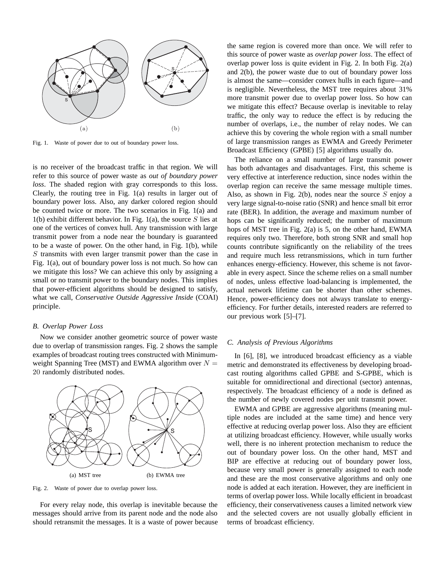

Fig. 1. Waste of power due to out of boundary power loss.

is no receiver of the broadcast traffic in that region. We will refer to this source of power waste as *out of boundary power loss*. The shaded region with gray corresponds to this loss. Clearly, the routing tree in Fig. 1(a) results in larger out of boundary power loss. Also, any darker colored region should be counted twice or more. The two scenarios in Fig. 1(a) and 1(b) exhibit different behavior. In Fig. 1(a), the source  $S$  lies at one of the vertices of convex hull. Any transmission with large transmit power from a node near the boundary is guaranteed to be a waste of power. On the other hand, in Fig. 1(b), while S transmits with even larger transmit power than the case in Fig. 1(a), out of boundary power loss is not much. So how can we mitigate this loss? We can achieve this only by assigning a small or no transmit power to the boundary nodes. This implies that power-efficient algorithms should be designed to satisfy, what we call, *Conservative Outside Aggressive Inside* (COAI) principle.

#### *B. Overlap Power Loss*

Now we consider another geometric source of power waste due to overlap of transmission ranges. Fig. 2 shows the sample examples of broadcast routing trees constructed with Minimumweight Spanning Tree (MST) and EWMA algorithm over  $N =$ 20 randomly distributed nodes.



Fig. 2. Waste of power due to overlap power loss.

For every relay node, this overlap is inevitable because the messages should arrive from its parent node and the node also should retransmit the messages. It is a waste of power because the same region is covered more than once. We will refer to this source of power waste as *overlap power loss*. The effect of overlap power loss is quite evident in Fig. 2. In both Fig. 2(a) and 2(b), the power waste due to out of boundary power loss is almost the same—consider convex hulls in each figure—and is negligible. Nevertheless, the MST tree requires about 31% more transmit power due to overlap power loss. So how can we mitigate this effect? Because overlap is inevitable to relay traffic, the only way to reduce the effect is by reducing the number of overlaps, i.e., the number of relay nodes. We can achieve this by covering the whole region with a small number of large transmission ranges as EWMA and Greedy Perimeter Broadcast Efficiency (GPBE) [5] algorithms usually do.

The reliance on a small number of large transmit power has both advantages and disadvantages. First, this scheme is very effective at interference reduction, since nodes within the overlap region can receive the same message multiple times. Also, as shown in Fig. 2(b), nodes near the source  $S$  enjoy a very large signal-to-noise ratio (SNR) and hence small bit error rate (BER). In addition, the average and maximum number of hops can be significantly reduced; the number of maximum hops of MST tree in Fig. 2(a) is 5, on the other hand, EWMA requires only two. Therefore, both strong SNR and small hop counts contribute significantly on the reliability of the trees and require much less retransmissions, which in turn further enhances energy-efficiency. However, this scheme is not favorable in every aspect. Since the scheme relies on a small number of nodes, unless effective load-balancing is implemented, the actual network lifetime can be shorter than other schemes. Hence, power-efficiency does not always translate to energyefficiency. For further details, interested readers are referred to our previous work [5]–[7].

## *C. Analysis of Previous Algorithms*

In [6], [8], we introduced broadcast efficiency as a viable metric and demonstrated its effectiveness by developing broadcast routing algorithms called GPBE and S-GPBE, which is suitable for omnidirectional and directional (sector) antennas, respectively. The broadcast efficiency of a node is defined as the number of newly covered nodes per unit transmit power.

EWMA and GPBE are aggressive algorithms (meaning multiple nodes are included at the same time) and hence very effective at reducing overlap power loss. Also they are efficient at utilizing broadcast efficiency. However, while usually works well, there is no inherent protection mechanism to reduce the out of boundary power loss. On the other hand, MST and BIP are effective at reducing out of boundary power loss, because very small power is generally assigned to each node and these are the most conservative algorithms and only one node is added at each iteration. However, they are inefficient in terms of overlap power loss. While locally efficient in broadcast efficiency, their conservativeness causes a limited network view and the selected covers are not usually globally efficient in terms of broadcast efficiency.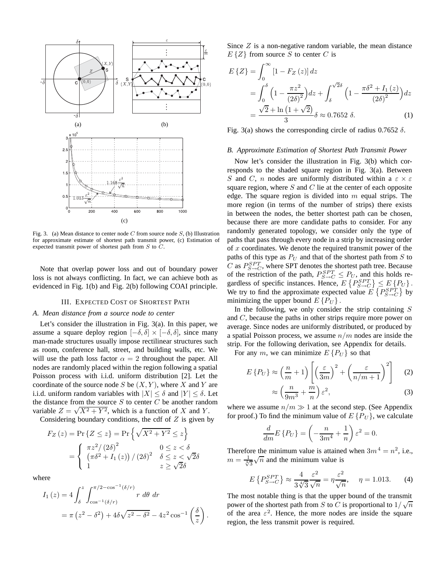

Fig. 3. (a) Mean distance to center node C from source node  $S$ , (b) Illustration for approximate estimate of shortest path transmit power, (c) Estimation of expected transmit power of shortest path from S to C.

Note that overlap power loss and out of boundary power loss is not always conflicting. In fact, we can achieve both as evidenced in Fig. 1(b) and Fig. 2(b) following COAI principle.

## III. EXPECTED COST OF SHORTEST PATH

## *A. Mean distance from a source node to center*

Let's consider the illustration in Fig. 3(a). In this paper, we assume a square deploy region  $[-\delta, \delta] \times [-\delta, \delta]$ , since many man-made structures usually impose rectilinear structures such as room, conference hall, street, and building walls, etc. We will use the path loss factor  $\alpha = 2$  throughout the paper. All nodes are randomly placed within the region following a spatial Poisson process with i.i.d. uniform distribution [2]. Let the coordinate of the source node S be  $(X, Y)$ , where X and Y are i.i.d. uniform random variables with  $|X| \leq \delta$  and  $|Y| \leq \delta$ . Let the distance from the source  $S$  to center  $C$  be another random variable  $Z = \sqrt{X^2 + Y^2}$ , which is a function of X and Y.

Considering boundary conditions, the cdf of  $Z$  is given by

$$
F_Z(z) = \Pr\{Z \le z\} = \Pr\left\{\sqrt{X^2 + Y^2} \le z\right\}
$$

$$
= \begin{cases} \pi z^2/(2\delta)^2 & 0 \le z < \delta\\ \left(\pi \delta^2 + I_1(z)\right)/(2\delta)^2 & \delta \le z < \sqrt{2}\delta\\ 1 & z \ge \sqrt{2}\delta \end{cases}
$$

where

$$
I_1(z) = 4 \int_{\delta}^{z} \int_{\cos^{-1}(\delta/r)}^{\pi/2 - \cos^{-1}(\delta/r)} r \, d\theta \, dr
$$
  
=  $\pi (z^2 - \delta^2) + 4\delta \sqrt{z^2 - \delta^2} - 4z^2 \cos^{-1} \left(\frac{\delta}{z}\right).$ 

Since Z is a non-negative random variable, the mean distance  $E\{Z\}$  from source S to center C is

$$
E\{Z\} = \int_0^\infty \left[1 - F_Z\left(z\right)\right] dz
$$
  
= 
$$
\int_0^\delta \left(1 - \frac{\pi z^2}{\left(2\delta\right)^2}\right) dz + \int_\delta^{\sqrt{2}\delta} \left(1 - \frac{\pi \delta^2 + I_1\left(z\right)}{\left(2\delta\right)^2}\right) dz
$$
  
= 
$$
\frac{\sqrt{2} + \ln\left(1 + \sqrt{2}\right)}{3} \delta \approx 0.7652 \delta.
$$
 (1)

Fig. 3(a) shows the corresponding circle of radius  $0.7652 \delta$ .

## *B. Approximate Estimation of Shortest Path Transmit Power*

Now let's consider the illustration in Fig. 3(b) which corresponds to the shaded square region in Fig. 3(a). Between S and C, n nodes are uniformly distributed within a  $\varepsilon \times \varepsilon$ square region, where  $S$  and  $C$  lie at the center of each opposite edge. The square region is divided into  $m$  equal strips. The more region (in terms of the number of strips) there exists in between the nodes, the better shortest path can be chosen, because there are more candidate paths to consider. For any randomly generated topology, we consider only the type of paths that pass through every node in a strip by increasing order of  $x$  coordinates. We denote the required transmit power of the paths of this type as  $P_U$  and that of the shortest path from S to C as  $P_{S\rightarrow C}^{SPT}$ , where SPT denotes the shortest path tree. Because of the restriction of the path,  $P_{S\rightarrow C}^{SPT} \leq P_U$ , and this holds regardless of specific instances. Hence,  $E\left\{P_{S\rightarrow C}^{SPT}\right\} \leq E\left\{P_{U}\right\}$ . We try to find the approximate expected value  $E\left\{P_{S\rightarrow C}^{SPT}\right\}$  by minimizing the upper bound  $E\{P_U\}$ .

In the following, we only consider the strip containing  $S$ and C, because the paths in other strips require more power on average. Since nodes are uniformly distributed, or produced by a spatial Poisson process, we assume  $n/m$  nodes are inside the strip. For the following derivation, see Appendix for details.

For any m, we can minimize  $E\{P_U\}$  so that

$$
E\left\{P_U\right\} \approx \left(\frac{n}{m} + 1\right) \left[ \left(\frac{\varepsilon}{3m}\right)^2 + \left(\frac{\varepsilon}{n/m + 1}\right)^2 \right] \tag{2}
$$
\n
$$
\approx \left(\frac{n}{m} + \frac{m}{n}\right) \varepsilon^2 \tag{3}
$$

$$
\approx \left(\frac{n}{9m^3} + \frac{m}{n}\right)\varepsilon^2,\tag{3}
$$

where we assume  $n/m \gg 1$  at the second step. (See Appendix for proof) To find the minimum value of  $ESD_{rel}$  we calculate for proof.) To find the minimum value of  $E\{P_U\}$ , we calculate

$$
\frac{d}{dm}E\left\{P_U\right\} = \left(-\frac{n}{3m^4} + \frac{1}{n}\right)\varepsilon^2 = 0.
$$

Therefore the minimum value is attained when  $3m^4 = n^2$ , i.e., Therefore the minimum value is attained<br> $m = \frac{1}{\sqrt[4]{3}}\sqrt{n}$  and the minimum value is

$$
E\left\{P_{S\to C}^{SPT}\right\} \approx \frac{4}{3\sqrt[4]{3}} \frac{\varepsilon^2}{\sqrt{n}} = \eta \frac{\varepsilon^2}{\sqrt{n}}, \quad \eta = 1.013. \tag{4}
$$

The most notable thing is that the upper bound of the transmit power of the shortest path from S to C is proportional to  $1/\sqrt{n}$ <br>of the area  $\epsilon^2$ . Hence, the more podes are inside the square of the area  $\varepsilon^2$ . Hence, the more nodes are inside the square region, the less transmit power is required.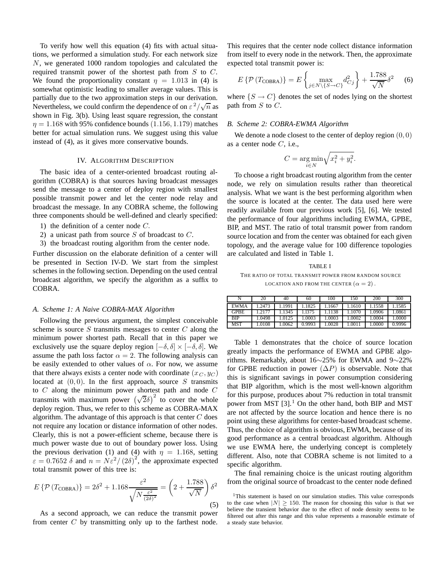To verify how well this equation (4) fits with actual situations, we performed a simulation study. For each network size N, we generated 1000 random topologies and calculated the required transmit power of the shortest path from  $S$  to  $C$ . We found the proportionality constant  $\eta = 1.013$  in (4) is somewhat optimistic leading to smaller average values. This is partially due to the two approximation steps in our derivation. Partially due to the two approximation steps in our derivation.<br>Nevertheless, we could confirm the dependence of on  $\varepsilon^2/\sqrt{n}$  as shown in Fig. 3(b). Using least square regression, the constant  $\eta = 1.168$  with 95% confidence bounds (1.156, 1.179) matches better for actual simulation runs. We suggest using this value instead of (4), as it gives more conservative bounds.

## IV. ALGORITHM DESCRIPTION

The basic idea of a center-oriented broadcast routing algorithm (COBRA) is that sources having broadcast messages send the message to a center of deploy region with smallest possible transmit power and let the center node relay and broadcast the message. In any COBRA scheme, the following three components should be well-defined and clearly specified:

- 1) the definition of a center node C.
- 2) a unicast path from source S of broadcast to  $C$ .
- 3) the broadcast routing algorithm from the center node.

Further discussion on the elaborate definition of a center will be presented in Section IV-D. We start from the simplest schemes in the following section. Depending on the used central broadcast algorithm, we specify the algorithm as a suffix to COBRA.

#### *A. Scheme 1: A Naive COBRA-MAX Algorithm*

Following the previous argument, the simplest conceivable scheme is source  $S$  transmits messages to center  $C$  along the minimum power shortest path. Recall that in this paper we exclusively use the square deploy region  $[-\delta, \delta] \times [-\delta, \delta]$ . We assume the path loss factor  $\alpha = 2$ . The following analysis can be easily extended to other values of  $\alpha$ . For now, we assume that there always exists a center node with coordinate  $(x_C, y_C)$ located at  $(0, 0)$ . In the first approach, source S transmits to  $C$  along the minimum power shortest path and node  $C$ transmits with maximum power shortest pain and note  $\sigma$ <br>transmits with maximum power  $(\sqrt{2}\delta)^2$  to cover the whole deploy region. Thus, we refer to this scheme as COBRA-MAX algorithm. The advantage of this approach is that center  $C$  does not require any location or distance information of other nodes. Clearly, this is not a power-efficient scheme, because there is much power waste due to out of boundary power loss. Using the previous derivation (1) and (4) with  $\eta = 1.168$ , setting  $\varepsilon = 0.7652 \delta$  and  $n = N \varepsilon^2 / (2\delta)^2$ , the approximate expected total transmit power of this tree is: total transmit power of this tree is:

$$
E\left\{\mathcal{P}\left(T_{\text{COBRA}}\right)\right\} = 2\delta^2 + 1.168 \frac{\varepsilon^2}{\sqrt{N \frac{\varepsilon^2}{(2\delta)^2}}} = \left(2 + \frac{1.788}{\sqrt{N}}\right)\delta^2\tag{5}
$$

As a second approach, we can reduce the transmit power from center  $C$  by transmitting only up to the farthest node.

This requires that the center node collect distance information from itself to every node in the network. Then, the approximate expected total transmit power is:

$$
E\left\{\mathcal{P}\left(T_{\text{COBRA}}\right)\right\} = E\left\{\max_{j \in N \setminus \{S \to C\}} d_{Cj}^2\right\} + \frac{1.788}{\sqrt{N}} \delta^2 \quad (6)
$$

where  $\{S \to C\}$  denotes the set of nodes lying on the shortest path from  $S$  to  $C$ .

## *B. Scheme 2: COBRA-EWMA Algorithm*

We denote a node closest to the center of deploy region  $(0, 0)$ as a center node  $C$ , i.e.,

$$
C = \underset{i \in N}{\arg \min} \sqrt{x_i^2 + y_i^2}.
$$

To choose a right broadcast routing algorithm from the center node, we rely on simulation results rather than theoretical analysis. What we want is the best performing algorithm when the source is located at the center. The data used here were readily available from our previous work [5], [6]. We tested the performance of four algorithms including EWMA, GPBE, BIP, and MST. The ratio of total transmit power from random source location and from the center was obtained for each given topology, and the average value for 100 difference topologies are calculated and listed in Table 1.

## TABLE I

## THE RATIO OF TOTAL TRANSMIT POWER FROM RANDOM SOURCE LOCATION AND FROM THE CENTER  $(\alpha = 2)$ .

|             | 20     | 40    | 60     | 100   | 150   | 200   | 300    |
|-------------|--------|-------|--------|-------|-------|-------|--------|
| <b>EWMA</b> | 1.2473 | 1991  | 1825   | 1667  | .1610 | .1558 | .1585  |
| <b>GPBE</b> | .2177  | 1345  | 1.1375 | 1138  | .1070 | .0906 | 1.0861 |
| <b>BIP</b>  | 1.0498 | .0125 | .0003  | .0003 | .0002 | .0004 | .0000  |
| MST         | 1.0108 | .0062 | 0.9993 | .0028 | .0011 | .0000 | 0.9996 |

Table 1 demonstrates that the choice of source location greatly impacts the performance of EWMA and GPBE algorithms. Remarkably, about 16∼25% for EWMA and 9∼22% for GPBE reduction in power  $(\Delta P)$  is observable. Note that this is significant savings in power consumption considering that BIP algorithm, which is the most well-known algorithm for this purpose, produces about 7% reduction in total transmit power from MST  $[3]$ .<sup>1</sup> On the other hand, both BIP and MST are not affected by the source location and hence there is no point using these algorithms for center-based broadcast scheme. Thus, the choice of algorithm is obvious, EWMA, because of its good performance as a central broadcast algorithm. Although we use EWMA here, the underlying concept is completely different. Also, note that COBRA scheme is not limited to a specific algorithm.

The final remaining choice is the unicast routing algorithm from the original source of broadcast to the center node defined

<sup>&</sup>lt;sup>1</sup>This statement is based on our simulation studies. This value corresponds to the case when  $|N| \ge 150$ . The reason for choosing this value is that we believe the transient behavior due to the effect of node density seems to be filtered out after this range and this value represents a reasonable estimate of a steady state behavior.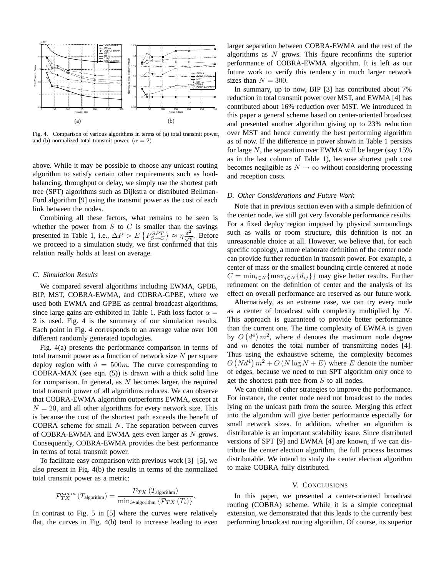

Fig. 4. Comparison of various algorithms in terms of (a) total transmit power, and (b) normalized total transmit power.  $(\alpha = 2)$ 

above. While it may be possible to choose any unicast routing algorithm to satisfy certain other requirements such as loadbalancing, throughput or delay, we simply use the shortest path tree (SPT) algorithms such as Dijkstra or distributed Bellman-Ford algorithm [9] using the transmit power as the cost of each link between the nodes.

Combining all these factors, what remains to be seen is whether the power from  $S$  to  $C$  is smaller than the savings presented in Table 1, i.e.,  $\Delta P > E\left\{P_{S- C}^{SPT}\right\} \approx \eta \frac{\varepsilon^2}{\sqrt{m}}$ . Before we proceed to a simulation study, we first confirmed that this relation really holds at least on average.

## *C. Simulation Results*

We compared several algorithms including EWMA, GPBE, BIP, MST, COBRA-EWMA, and COBRA-GPBE, where we used both EWMA and GPBE as central broadcast algorithms, since large gains are exhibited in Table 1. Path loss factor  $\alpha =$ 2 is used. Fig. 4 is the summary of our simulation results. Each point in Fig. 4 corresponds to an average value over 100 different randomly generated topologies.

Fig. 4(a) presents the performance comparison in terms of total transmit power as a function of network size  $N$  per square deploy region with  $\delta = 500m$ . The curve corresponding to COBRA-MAX (see eqn. (5)) is drawn with a thick solid line for comparison. In general, as  $N$  becomes larger, the required total transmit power of all algorithms reduces. We can observe that COBRA-EWMA algorithm outperforms EWMA, except at  $N = 20$ , and all other algorithms for every network size. This is because the cost of the shortest path exceeds the benefit of COBRA scheme for small N. The separation between curves of COBRA-EWMA and EWMA gets even larger as  $N$  grows. Consequently, COBRA-EWMA provides the best performance in terms of total transmit power.

To facilitate easy comparison with previous work [3]–[5], we also present in Fig. 4(b) the results in terms of the normalized total transmit power as a metric:

$$
\mathcal{P}_{TX}^{norm}\left(T_{\text{algorithm}}\right) = \frac{\mathcal{P}_{TX}\left(T_{\text{algorithm}}\right)}{\min_{i \in \text{algorithm}} \left\{\mathcal{P}_{TX}\left(T_i\right)\right\}}.
$$

In contrast to Fig. 5 in [5] where the curves were relatively flat, the curves in Fig. 4(b) tend to increase leading to even

larger separation between COBRA-EWMA and the rest of the algorithms as  $N$  grows. This figure reconfirms the superior performance of COBRA-EWMA algorithm. It is left as our future work to verify this tendency in much larger network sizes than  $N = 300$ .

In summary, up to now, BIP [3] has contributed about 7% reduction in total transmit power over MST, and EWMA [4] has contributed about 16% reduction over MST. We introduced in this paper a general scheme based on center-oriented broadcast and presented another algorithm giving up to 23% reduction over MST and hence currently the best performing algorithm as of now. If the difference in power shown in Table 1 persists for large N, the separation over EWMA will be larger (say  $15\%$ ) as in the last column of Table 1), because shortest path cost becomes negligible as  $N \to \infty$  without considering processing and reception costs.

#### *D. Other Considerations and Future Work*

Note that in previous section even with a simple definition of the center node, we still got very favorable performance results. For a fixed deploy region imposed by physical surroundings such as walls or room structure, this definition is not an unreasonable choice at all. However, we believe that, for each specific topology, a more elaborate definition of the center node can provide further reduction in transmit power. For example, a center of mass or the smallest bounding circle centered at node  $C = \min_{i \in \mathbb{N}} \{\max_{j \in \mathbb{N}} \{d_{ij}\}\}\$  may give better results. Further refinement on the definition of center and the analysis of its effect on overall performance are reserved as our future work.

Alternatively, as an extreme case, we can try every node as a center of broadcast with complexity multiplied by N. This approach is guaranteed to provide better performance than the current one. The time complexity of EWMA is given by  $O(d^4) m^2$ , where d denotes the maximum node degree and  $m$  denotes the total number of transmitting nodes [4]. Thus using the exhaustive scheme, the complexity becomes  $O(N d^4) m^2 + O(N \log N + E)$  where E denote the number<br>of edges, because we need to run SPT algorithm only once to of edges, because we need to run SPT algorithm only once to get the shortest path tree from  $S$  to all nodes.

We can think of other strategies to improve the performance. For instance, the center node need not broadcast to the nodes lying on the unicast path from the source. Merging this effect into the algorithm will give better performance especially for small network sizes. In addition, whether an algorithm is distributable is an important scalability issue. Since distributed versions of SPT [9] and EWMA [4] are known, if we can distribute the center election algorithm, the full process becomes distributable. We intend to study the center election algorithm to make COBRA fully distributed.

## V. CONCLUSIONS

In this paper, we presented a center-oriented broadcast routing (COBRA) scheme. While it is a simple conceptual extension, we demonstrated that this leads to the currently best performing broadcast routing algorithm. Of course, its superior